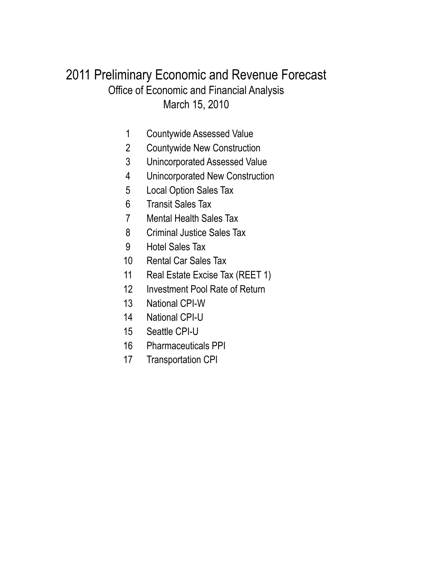## March 15, 2010 Office of Economic and Financial Analysis 2011 Preliminary Economic and Revenue Forecast

- Countywide Assessed Value
- Countywide New Construction
- Unincorporated Assessed Value
- Unincorporated New Construction
- Local Option Sales Tax
- Transit Sales Tax
- Mental Health Sales Tax
- Criminal Justice Sales Tax
- Hotel Sales Tax
- Rental Car Sales Tax
- Real Estate Excise Tax (REET 1)
- Investment Pool Rate of Return
- National CPI-W
- National CPI-U
- Seattle CPI-U
- Pharmaceuticals PPI
- Transportation CPI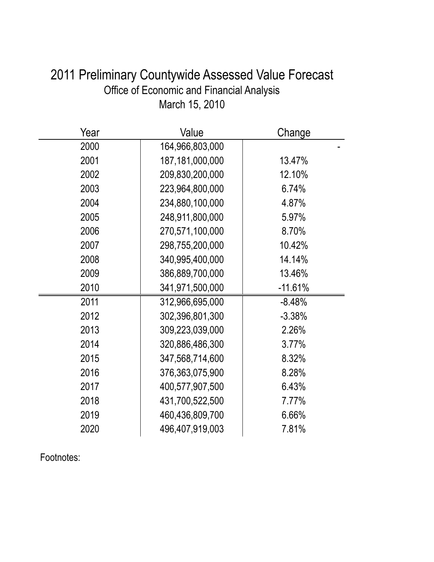| 2011 Preliminary Countywide Assessed Value Forecast |
|-----------------------------------------------------|
| Office of Economic and Financial Analysis           |
| March 15, 2010                                      |

| Year | Value              | Change    |
|------|--------------------|-----------|
| 2000 | 164,966,803,000    |           |
| 2001 | 187, 181, 000, 000 | 13.47%    |
| 2002 | 209,830,200,000    | 12.10%    |
| 2003 | 223,964,800,000    | 6.74%     |
| 2004 | 234,880,100,000    | 4.87%     |
| 2005 | 248,911,800,000    | 5.97%     |
| 2006 | 270,571,100,000    | 8.70%     |
| 2007 | 298,755,200,000    | 10.42%    |
| 2008 | 340,995,400,000    | 14.14%    |
| 2009 | 386,889,700,000    | 13.46%    |
| 2010 | 341,971,500,000    | $-11.61%$ |
| 2011 | 312,966,695,000    | $-8.48%$  |
| 2012 | 302,396,801,300    | $-3.38%$  |
| 2013 | 309,223,039,000    | 2.26%     |
| 2014 | 320,886,486,300    | 3.77%     |
| 2015 | 347,568,714,600    | 8.32%     |
| 2016 | 376,363,075,900    | 8.28%     |
| 2017 | 400,577,907,500    | 6.43%     |
| 2018 | 431,700,522,500    | 7.77%     |
| 2019 | 460,436,809,700    | 6.66%     |
| 2020 | 496,407,919,003    | 7.81%     |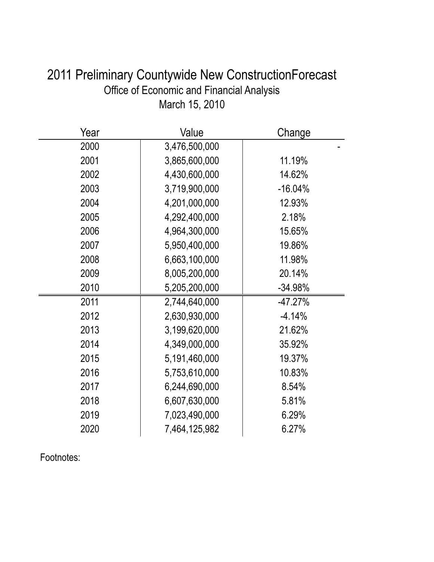| 2011 Preliminary Countywide New Construction Forecast |
|-------------------------------------------------------|
| <b>Office of Economic and Financial Analysis</b>      |
| March 15, 2010                                        |

| Year | Value         | Change    |
|------|---------------|-----------|
| 2000 | 3,476,500,000 |           |
| 2001 | 3,865,600,000 | 11.19%    |
| 2002 | 4,430,600,000 | 14.62%    |
| 2003 | 3,719,900,000 | $-16.04%$ |
| 2004 | 4,201,000,000 | 12.93%    |
| 2005 | 4,292,400,000 | 2.18%     |
| 2006 | 4,964,300,000 | 15.65%    |
| 2007 | 5,950,400,000 | 19.86%    |
| 2008 | 6,663,100,000 | 11.98%    |
| 2009 | 8,005,200,000 | 20.14%    |
| 2010 | 5,205,200,000 | $-34.98%$ |
| 2011 | 2,744,640,000 | $-47.27%$ |
| 2012 | 2,630,930,000 | $-4.14%$  |
| 2013 | 3,199,620,000 | 21.62%    |
| 2014 | 4,349,000,000 | 35.92%    |
| 2015 | 5,191,460,000 | 19.37%    |
| 2016 | 5,753,610,000 | 10.83%    |
| 2017 | 6,244,690,000 | 8.54%     |
| 2018 | 6,607,630,000 | 5.81%     |
| 2019 | 7,023,490,000 | 6.29%     |
| 2020 | 7,464,125,982 | 6.27%     |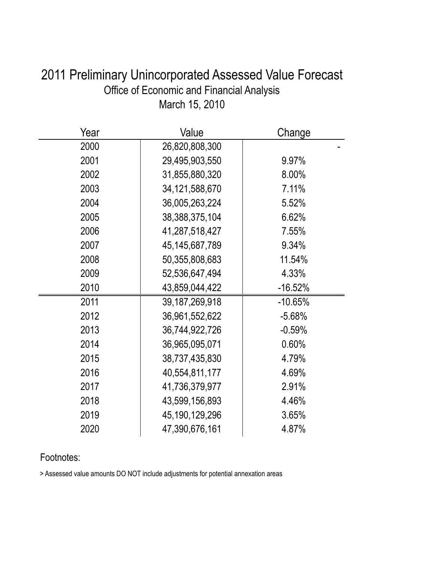| 2011 Preliminary Unincorporated Assessed Value Forecast |
|---------------------------------------------------------|
| Office of Economic and Financial Analysis               |
| March 15, 2010                                          |

| Year | Value             | Change    |
|------|-------------------|-----------|
| 2000 | 26,820,808,300    |           |
| 2001 | 29,495,903,550    | 9.97%     |
| 2002 | 31,855,880,320    | 8.00%     |
| 2003 | 34,121,588,670    | 7.11%     |
| 2004 | 36,005,263,224    | 5.52%     |
| 2005 | 38,388,375,104    | 6.62%     |
| 2006 | 41,287,518,427    | 7.55%     |
| 2007 | 45, 145, 687, 789 | 9.34%     |
| 2008 | 50,355,808,683    | 11.54%    |
| 2009 | 52,536,647,494    | 4.33%     |
| 2010 | 43,859,044,422    | $-16.52%$ |
| 2011 | 39, 187, 269, 918 | $-10.65%$ |
| 2012 | 36,961,552,622    | $-5.68%$  |
| 2013 | 36,744,922,726    | $-0.59%$  |
| 2014 | 36,965,095,071    | 0.60%     |
| 2015 | 38,737,435,830    | 4.79%     |
| 2016 | 40,554,811,177    | 4.69%     |
| 2017 | 41,736,379,977    | 2.91%     |
| 2018 | 43,599,156,893    | 4.46%     |
| 2019 | 45,190,129,296    | 3.65%     |
| 2020 | 47,390,676,161    | 4.87%     |

> Assessed value amounts DO NOT include adjustments for potential annexation areas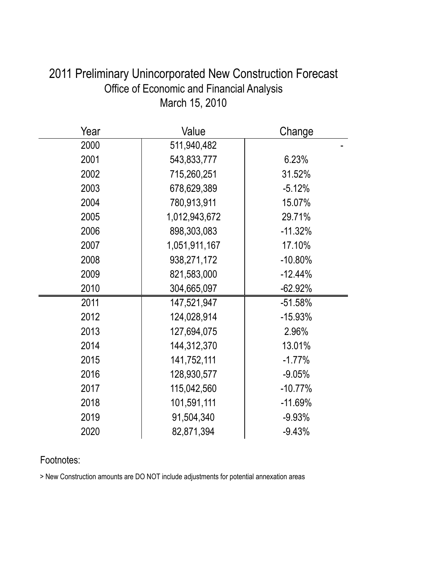| Year | Value         | Change    |
|------|---------------|-----------|
| 2000 | 511,940,482   |           |
| 2001 | 543,833,777   | 6.23%     |
| 2002 | 715,260,251   | 31.52%    |
| 2003 | 678,629,389   | $-5.12%$  |
| 2004 | 780,913,911   | 15.07%    |
| 2005 | 1,012,943,672 | 29.71%    |
| 2006 | 898,303,083   | $-11.32%$ |
| 2007 | 1,051,911,167 | 17.10%    |
| 2008 | 938,271,172   | $-10.80%$ |
| 2009 | 821,583,000   | $-12.44%$ |
| 2010 | 304,665,097   | $-62.92%$ |
| 2011 | 147,521,947   | $-51.58%$ |
| 2012 | 124,028,914   | $-15.93%$ |
| 2013 | 127,694,075   | 2.96%     |
| 2014 | 144,312,370   | 13.01%    |
| 2015 | 141,752,111   | $-1.77%$  |
| 2016 | 128,930,577   | $-9.05%$  |
| 2017 | 115,042,560   | $-10.77%$ |
| 2018 | 101,591,111   | $-11.69%$ |
| 2019 | 91,504,340    | $-9.93%$  |
| 2020 | 82,871,394    | $-9.43%$  |

## 2011 Preliminary Unincorporated New Construction Forecast Office of Economic and Financial Analysis March 15, 2010

### Footnotes:

> New Construction amounts are DO NOT include adjustments for potential annexation areas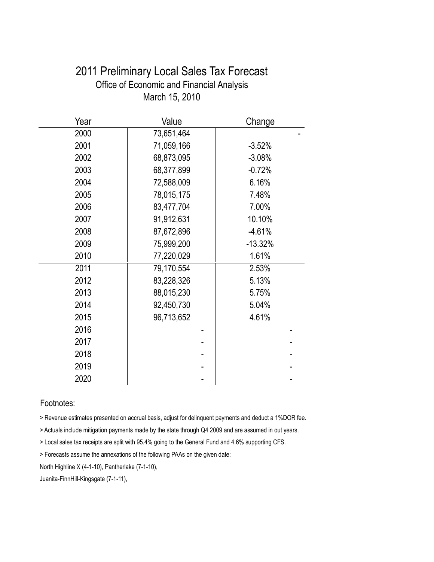| Office of Economic and Financial Analysis |            |           |
|-------------------------------------------|------------|-----------|
| March 15, 2010                            |            |           |
| Year                                      | Value      | Change    |
| 2000                                      | 73,651,464 |           |
| 2001                                      | 71,059,166 | $-3.52%$  |
| 2002                                      | 68,873,095 | $-3.08%$  |
| 2003                                      | 68,377,899 | $-0.72%$  |
| 2004                                      | 72,588,009 | 6.16%     |
| 2005                                      | 78,015,175 | 7.48%     |
| 2006                                      | 83,477,704 | 7.00%     |
| 2007                                      | 91,912,631 | 10.10%    |
| 2008                                      | 87,672,896 | $-4.61%$  |
| 2009                                      | 75,999,200 | $-13.32%$ |
| 2010                                      | 77,220,029 | 1.61%     |
| 2011                                      | 79,170,554 | 2.53%     |
| 2012                                      | 83,228,326 | 5.13%     |
| 2013                                      | 88,015,230 | 5.75%     |
| 2014                                      | 92,450,730 | 5.04%     |
| 2015                                      | 96,713,652 | 4.61%     |
| 2016                                      |            |           |
| 2017                                      |            |           |
| 2018                                      |            |           |
| 2019                                      |            |           |
| 2020                                      |            |           |

# 2011 Preliminary Local Sales Tax Forecast Office of Economic and Financial Analysis

### Footnotes:

> Revenue estimates presented on accrual basis, adjust for delinquent payments and deduct a 1%DOR fee.

> Actuals include mitigation payments made by the state through Q4 2009 and are assumed in out years.

> Local sales tax receipts are split with 95.4% going to the General Fund and 4.6% supporting CFS.

> Forecasts assume the annexations of the following PAAs on the given date:

North Highline X (4-1-10), Pantherlake (7-1-10),

Juanita-FinnHill-Kingsgate (7-1-11),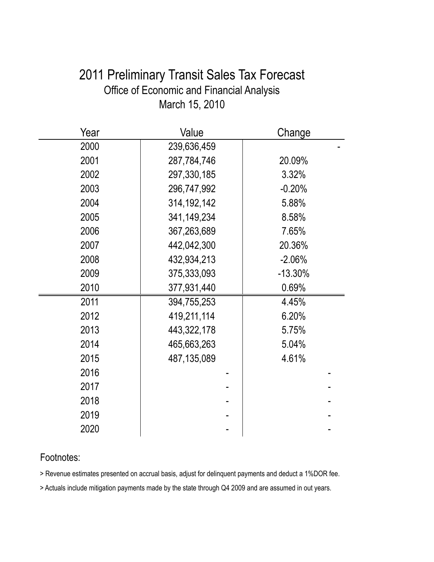## 2011 Preliminary Transit Sales Tax Forecast Office of Economic and Financial Analysis March 15, 2010

| Year | Value         | Change    |
|------|---------------|-----------|
| 2000 | 239,636,459   |           |
| 2001 | 287,784,746   | 20.09%    |
| 2002 | 297,330,185   | 3.32%     |
| 2003 | 296,747,992   | $-0.20%$  |
| 2004 | 314, 192, 142 | 5.88%     |
| 2005 | 341,149,234   | 8.58%     |
| 2006 | 367,263,689   | 7.65%     |
| 2007 | 442,042,300   | 20.36%    |
| 2008 | 432,934,213   | $-2.06%$  |
| 2009 | 375,333,093   | $-13.30%$ |
| 2010 | 377,931,440   | 0.69%     |
| 2011 | 394,755,253   | 4.45%     |
| 2012 | 419,211,114   | 6.20%     |
| 2013 | 443,322,178   | 5.75%     |
| 2014 | 465,663,263   | 5.04%     |
| 2015 | 487,135,089   | 4.61%     |
| 2016 |               |           |
| 2017 |               |           |
| 2018 |               |           |
| 2019 |               |           |
| 2020 |               |           |

### Footnotes:

> Revenue estimates presented on accrual basis, adjust for delinquent payments and deduct a 1%DOR fee.

> Actuals include mitigation payments made by the state through Q4 2009 and are assumed in out years.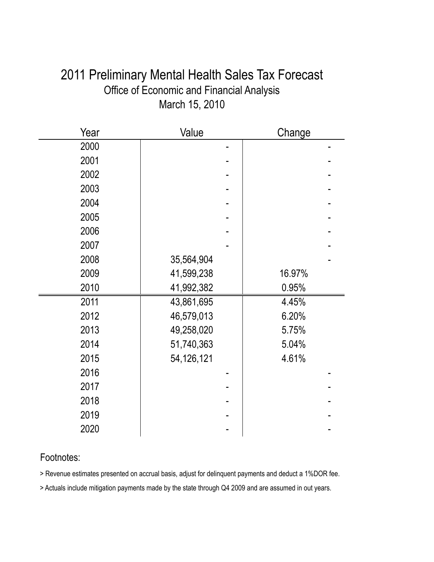## 2011 Preliminary Mental Health Sales Tax Forecast Office of Economic and Financial Analysis March 15, 2010

| Year | Value      | Change |
|------|------------|--------|
| 2000 |            |        |
| 2001 |            |        |
| 2002 |            |        |
| 2003 |            |        |
| 2004 |            |        |
| 2005 |            |        |
| 2006 |            |        |
| 2007 |            |        |
| 2008 | 35,564,904 |        |
| 2009 | 41,599,238 | 16.97% |
| 2010 | 41,992,382 | 0.95%  |
| 2011 | 43,861,695 | 4.45%  |
| 2012 | 46,579,013 | 6.20%  |
| 2013 | 49,258,020 | 5.75%  |
| 2014 | 51,740,363 | 5.04%  |
| 2015 | 54,126,121 | 4.61%  |
| 2016 |            |        |
| 2017 |            |        |
| 2018 |            |        |
| 2019 |            |        |
| 2020 |            |        |

### Footnotes:

> Revenue estimates presented on accrual basis, adjust for delinquent payments and deduct a 1%DOR fee.

> Actuals include mitigation payments made by the state through Q4 2009 and are assumed in out years.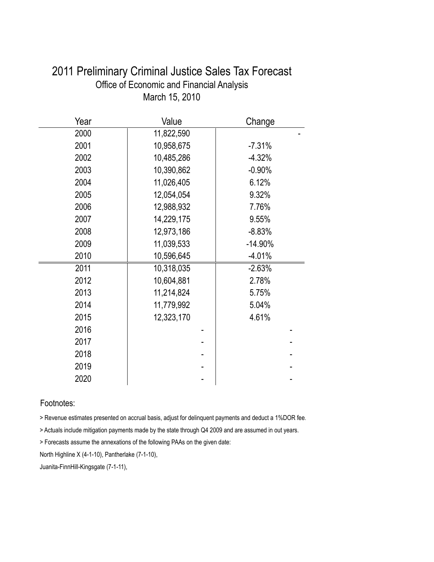| Year | Value      | Change     |
|------|------------|------------|
| 2000 | 11,822,590 |            |
| 2001 | 10,958,675 | $-7.31%$   |
| 2002 | 10,485,286 | $-4.32%$   |
| 2003 | 10,390,862 | $-0.90%$   |
| 2004 | 11,026,405 | 6.12%      |
| 2005 | 12,054,054 | 9.32%      |
| 2006 | 12,988,932 | 7.76%      |
| 2007 | 14,229,175 | 9.55%      |
| 2008 | 12,973,186 | $-8.83%$   |
| 2009 | 11,039,533 | $-14.90\%$ |
| 2010 | 10,596,645 | $-4.01%$   |
| 2011 | 10,318,035 | $-2.63%$   |
| 2012 | 10,604,881 | 2.78%      |
| 2013 | 11,214,824 | 5.75%      |
| 2014 | 11,779,992 | 5.04%      |
| 2015 | 12,323,170 | 4.61%      |
| 2016 |            |            |
| 2017 |            |            |
| 2018 |            |            |
| 2019 |            |            |
| 2020 |            |            |

### 2011 Preliminary Criminal Justice Sales Tax Forecast Office of Economic and Financial Analysis March 15, 2010

#### Footnotes:

> Revenue estimates presented on accrual basis, adjust for delinquent payments and deduct a 1%DOR fee.

> Actuals include mitigation payments made by the state through Q4 2009 and are assumed in out years.

> Forecasts assume the annexations of the following PAAs on the given date:

North Highline X (4-1-10), Pantherlake (7-1-10),

Juanita-FinnHill-Kingsgate (7-1-11),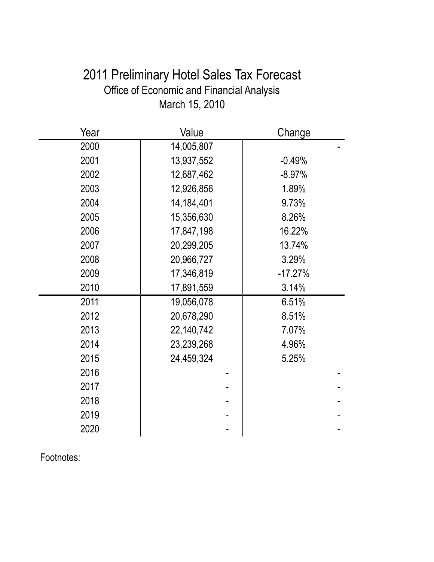## 2011 Preliminary Hotel Sales Tax Forecast Office of Economic and Financial Analysis March 15, 2010

| Year | Value      | Change    |
|------|------------|-----------|
| 2000 | 14,005,807 |           |
| 2001 | 13,937,552 | $-0.49%$  |
| 2002 | 12,687,462 | $-8.97%$  |
| 2003 | 12,926,856 | 1.89%     |
| 2004 | 14,184,401 | 9.73%     |
| 2005 | 15,356,630 | 8.26%     |
| 2006 | 17,847,198 | 16.22%    |
| 2007 | 20,299,205 | 13.74%    |
| 2008 | 20,966,727 | 3.29%     |
| 2009 | 17,346,819 | $-17.27%$ |
| 2010 | 17,891,559 | 3.14%     |
| 2011 | 19,056,078 | 6.51%     |
| 2012 | 20,678,290 | 8.51%     |
| 2013 | 22,140,742 | 7.07%     |
| 2014 | 23,239,268 | 4.96%     |
| 2015 | 24,459,324 | 5.25%     |
| 2016 |            |           |
| 2017 |            |           |
| 2018 |            |           |
| 2019 |            |           |
| 2020 |            |           |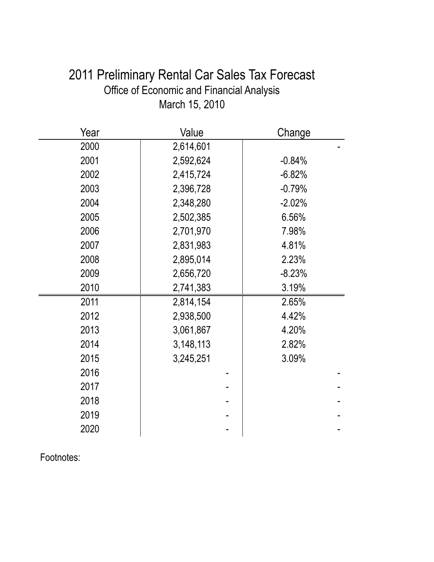| 2011 Preliminary Rental Car Sales Tax Forecast |
|------------------------------------------------|
| Office of Economic and Financial Analysis      |
| March 15, 2010                                 |

| Year | Value     | Change   |
|------|-----------|----------|
| 2000 | 2,614,601 |          |
| 2001 | 2,592,624 | $-0.84%$ |
| 2002 | 2,415,724 | $-6.82%$ |
| 2003 | 2,396,728 | $-0.79%$ |
| 2004 | 2,348,280 | $-2.02%$ |
| 2005 | 2,502,385 | 6.56%    |
| 2006 | 2,701,970 | 7.98%    |
| 2007 | 2,831,983 | 4.81%    |
| 2008 | 2,895,014 | 2.23%    |
| 2009 | 2,656,720 | $-8.23%$ |
| 2010 | 2,741,383 | 3.19%    |
| 2011 | 2,814,154 | 2.65%    |
| 2012 | 2,938,500 | 4.42%    |
| 2013 | 3,061,867 | 4.20%    |
| 2014 | 3,148,113 | 2.82%    |
| 2015 | 3,245,251 | 3.09%    |
| 2016 |           |          |
| 2017 |           |          |
| 2018 |           |          |
| 2019 |           |          |
| 2020 |           |          |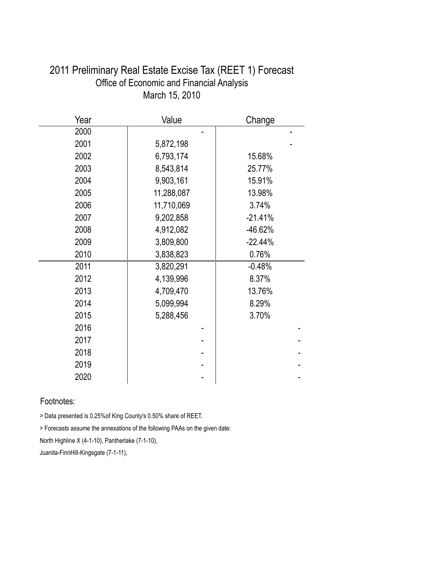| Year | Value      | Change    |
|------|------------|-----------|
| 2000 |            |           |
| 2001 | 5,872,198  |           |
| 2002 | 6,793,174  | 15.68%    |
| 2003 | 8,543,814  | 25.77%    |
| 2004 | 9,903,161  | 15.91%    |
| 2005 | 11,288,087 | 13.98%    |
| 2006 | 11,710,069 | 3.74%     |
| 2007 | 9,202,858  | $-21.41%$ |
| 2008 | 4,912,082  | $-46.62%$ |
| 2009 | 3,809,800  | $-22.44%$ |
| 2010 | 3,838,823  | 0.76%     |
| 2011 | 3,820,291  | $-0.48%$  |
| 2012 | 4,139,996  | 8.37%     |
| 2013 | 4,709,470  | 13.76%    |
| 2014 | 5,099,994  | 8.29%     |
| 2015 | 5,288,456  | 3.70%     |
| 2016 |            |           |
| 2017 |            |           |
| 2018 |            |           |
| 2019 |            |           |
| 2020 |            |           |

### 2011 Preliminary Real Estate Excise Tax (REET 1) Forecast Office of Economic and Financial Analysis March 15, 2010

### Footnotes:

> Data presented is 0.25%of King County's 0.50% share of REET.

> Forecasts assume the annexations of the following PAAs on the given date:

North Highline X (4-1-10), Pantherlake (7-1-10),

Juanita-FinnHill-Kingsgate (7-1-11),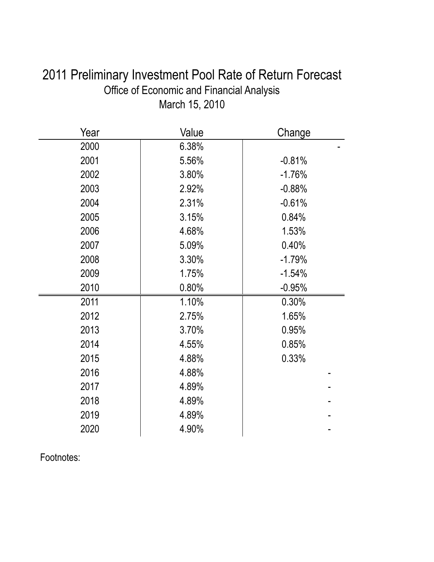| 2011 Preliminary Investment Pool Rate of Return Forecast |
|----------------------------------------------------------|
| Office of Economic and Financial Analysis                |
| March 15, 2010                                           |

| Year | Value | Change   |
|------|-------|----------|
| 2000 | 6.38% |          |
| 2001 | 5.56% | $-0.81%$ |
| 2002 | 3.80% | $-1.76%$ |
| 2003 | 2.92% | $-0.88%$ |
| 2004 | 2.31% | $-0.61%$ |
| 2005 | 3.15% | 0.84%    |
| 2006 | 4.68% | 1.53%    |
| 2007 | 5.09% | 0.40%    |
| 2008 | 3.30% | $-1.79%$ |
| 2009 | 1.75% | $-1.54%$ |
| 2010 | 0.80% | $-0.95%$ |
| 2011 | 1.10% | 0.30%    |
| 2012 | 2.75% | 1.65%    |
| 2013 | 3.70% | 0.95%    |
| 2014 | 4.55% | 0.85%    |
| 2015 | 4.88% | 0.33%    |
| 2016 | 4.88% |          |
| 2017 | 4.89% |          |
| 2018 | 4.89% |          |
| 2019 | 4.89% |          |
| 2020 | 4.90% |          |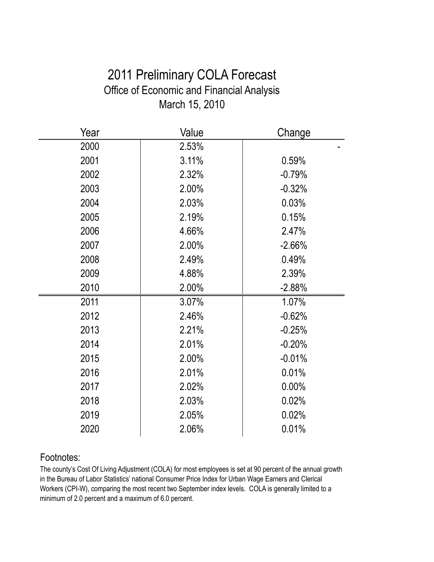## 2011 Preliminary COLA Forecast Office of Economic and Financial Analysis March 15, 2010

| Year | Value | Change   |
|------|-------|----------|
| 2000 | 2.53% |          |
| 2001 | 3.11% | 0.59%    |
| 2002 | 2.32% | $-0.79%$ |
| 2003 | 2.00% | $-0.32%$ |
| 2004 | 2.03% | 0.03%    |
| 2005 | 2.19% | 0.15%    |
| 2006 | 4.66% | 2.47%    |
| 2007 | 2.00% | $-2.66%$ |
| 2008 | 2.49% | 0.49%    |
| 2009 | 4.88% | 2.39%    |
| 2010 | 2.00% | $-2.88%$ |
| 2011 | 3.07% | 1.07%    |
| 2012 | 2.46% | $-0.62%$ |
| 2013 | 2.21% | $-0.25%$ |
| 2014 | 2.01% | $-0.20%$ |
| 2015 | 2.00% | $-0.01%$ |
| 2016 | 2.01% | 0.01%    |
| 2017 | 2.02% | $0.00\%$ |
| 2018 | 2.03% | 0.02%    |
| 2019 | 2.05% | 0.02%    |
| 2020 | 2.06% | 0.01%    |

### Footnotes:

The county's Cost Of Living Adjustment (COLA) for most employees is set at 90 percent of the annual growth in the Bureau of Labor Statistics' national Consumer Price Index for Urban Wage Earners and Clerical Workers (CPI-W), comparing the most recent two September index levels. COLA is generally limited to a minimum of 2.0 percent and a maximum of 6.0 percent.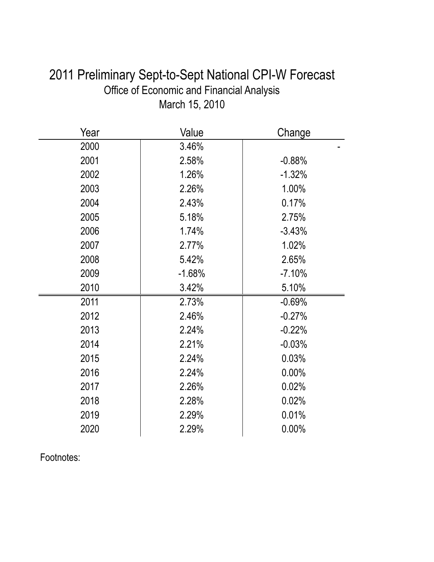| Year | Value    | Change   |
|------|----------|----------|
| 2000 | 3.46%    |          |
| 2001 | 2.58%    | $-0.88%$ |
| 2002 | 1.26%    | $-1.32%$ |
| 2003 | 2.26%    | 1.00%    |
| 2004 | 2.43%    | 0.17%    |
| 2005 | 5.18%    | 2.75%    |
| 2006 | 1.74%    | $-3.43%$ |
| 2007 | 2.77%    | 1.02%    |
| 2008 | 5.42%    | 2.65%    |
| 2009 | $-1.68%$ | $-7.10%$ |
| 2010 | 3.42%    | 5.10%    |
| 2011 | 2.73%    | $-0.69%$ |
| 2012 | 2.46%    | $-0.27%$ |
| 2013 | 2.24%    | $-0.22%$ |
| 2014 | 2.21%    | $-0.03%$ |
| 2015 | 2.24%    | 0.03%    |
| 2016 | 2.24%    | 0.00%    |
| 2017 | 2.26%    | 0.02%    |
| 2018 | 2.28%    | 0.02%    |
| 2019 | 2.29%    | 0.01%    |
| 2020 | 2.29%    | 0.00%    |

## 2011 Preliminary Sept-to-Sept National CPI-W Forecast Office of Economic and Financial Analysis March 15, 2010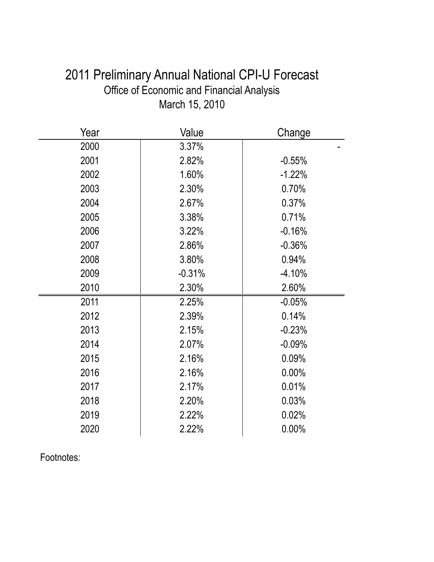| 2011 Preliminary Annual National CPI-U Forecast  |
|--------------------------------------------------|
| <b>Office of Economic and Financial Analysis</b> |
| March 15, 2010                                   |

| Year | Value    | Change   |
|------|----------|----------|
| 2000 | 3.37%    |          |
| 2001 | 2.82%    | $-0.55%$ |
| 2002 | 1.60%    | $-1.22%$ |
| 2003 | 2.30%    | 0.70%    |
| 2004 | 2.67%    | 0.37%    |
| 2005 | 3.38%    | 0.71%    |
| 2006 | 3.22%    | $-0.16%$ |
| 2007 | 2.86%    | $-0.36%$ |
| 2008 | 3.80%    | 0.94%    |
| 2009 | $-0.31%$ | $-4.10%$ |
| 2010 | 2.30%    | 2.60%    |
| 2011 | 2.25%    | $-0.05%$ |
| 2012 | 2.39%    | 0.14%    |
| 2013 | 2.15%    | $-0.23%$ |
| 2014 | 2.07%    | $-0.09%$ |
| 2015 | 2.16%    | 0.09%    |
| 2016 | 2.16%    | 0.00%    |
| 2017 | 2.17%    | 0.01%    |
| 2018 | 2.20%    | 0.03%    |
| 2019 | 2.22%    | 0.02%    |
| 2020 | 2.22%    | $0.00\%$ |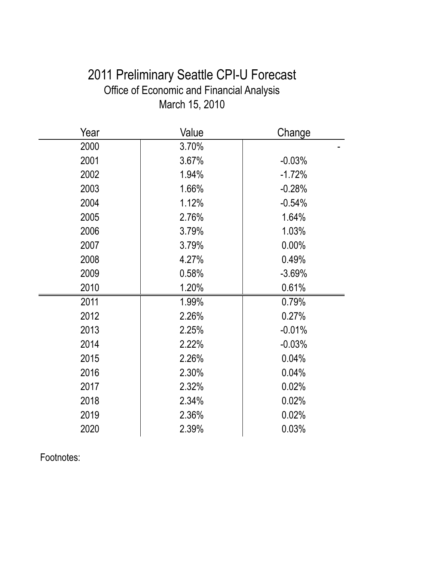## 2011 Preliminary Seattle CPI-U Forecast Office of Economic and Financial Analysis March 15, 2010

| Year | Value | Change   |
|------|-------|----------|
| 2000 | 3.70% |          |
| 2001 | 3.67% | $-0.03%$ |
| 2002 | 1.94% | $-1.72%$ |
| 2003 | 1.66% | $-0.28%$ |
| 2004 | 1.12% | $-0.54%$ |
| 2005 | 2.76% | 1.64%    |
| 2006 | 3.79% | 1.03%    |
| 2007 | 3.79% | 0.00%    |
| 2008 | 4.27% | 0.49%    |
| 2009 | 0.58% | $-3.69%$ |
| 2010 | 1.20% | 0.61%    |
| 2011 | 1.99% | 0.79%    |
| 2012 | 2.26% | 0.27%    |
| 2013 | 2.25% | $-0.01%$ |
| 2014 | 2.22% | $-0.03%$ |
| 2015 | 2.26% | 0.04%    |
| 2016 | 2.30% | 0.04%    |
| 2017 | 2.32% | 0.02%    |
| 2018 | 2.34% | 0.02%    |
| 2019 | 2.36% | 0.02%    |
| 2020 | 2.39% | 0.03%    |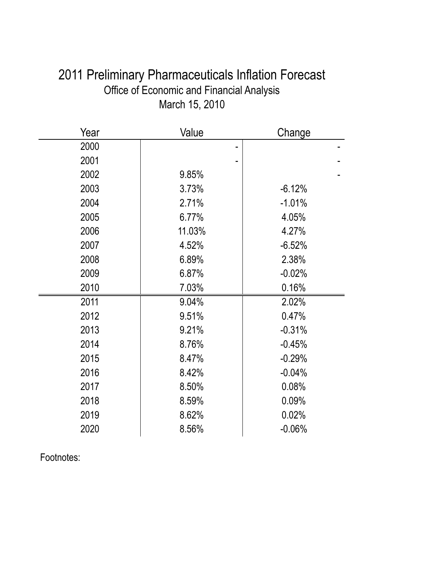| 2011 Preliminary Pharmaceuticals Inflation Forecast |
|-----------------------------------------------------|
| Office of Economic and Financial Analysis           |
| March 15, 2010                                      |

| Year | Value  | Change   |
|------|--------|----------|
| 2000 |        |          |
| 2001 |        |          |
| 2002 | 9.85%  |          |
| 2003 | 3.73%  | $-6.12%$ |
| 2004 | 2.71%  | $-1.01%$ |
| 2005 | 6.77%  | 4.05%    |
| 2006 | 11.03% | 4.27%    |
| 2007 | 4.52%  | $-6.52%$ |
| 2008 | 6.89%  | 2.38%    |
| 2009 | 6.87%  | $-0.02%$ |
| 2010 | 7.03%  | 0.16%    |
| 2011 | 9.04%  | 2.02%    |
| 2012 | 9.51%  | 0.47%    |
| 2013 | 9.21%  | $-0.31%$ |
| 2014 | 8.76%  | $-0.45%$ |
| 2015 | 8.47%  | $-0.29%$ |
| 2016 | 8.42%  | $-0.04%$ |
| 2017 | 8.50%  | 0.08%    |
| 2018 | 8.59%  | 0.09%    |
| 2019 | 8.62%  | 0.02%    |
| 2020 | 8.56%  | $-0.06%$ |
|      |        |          |